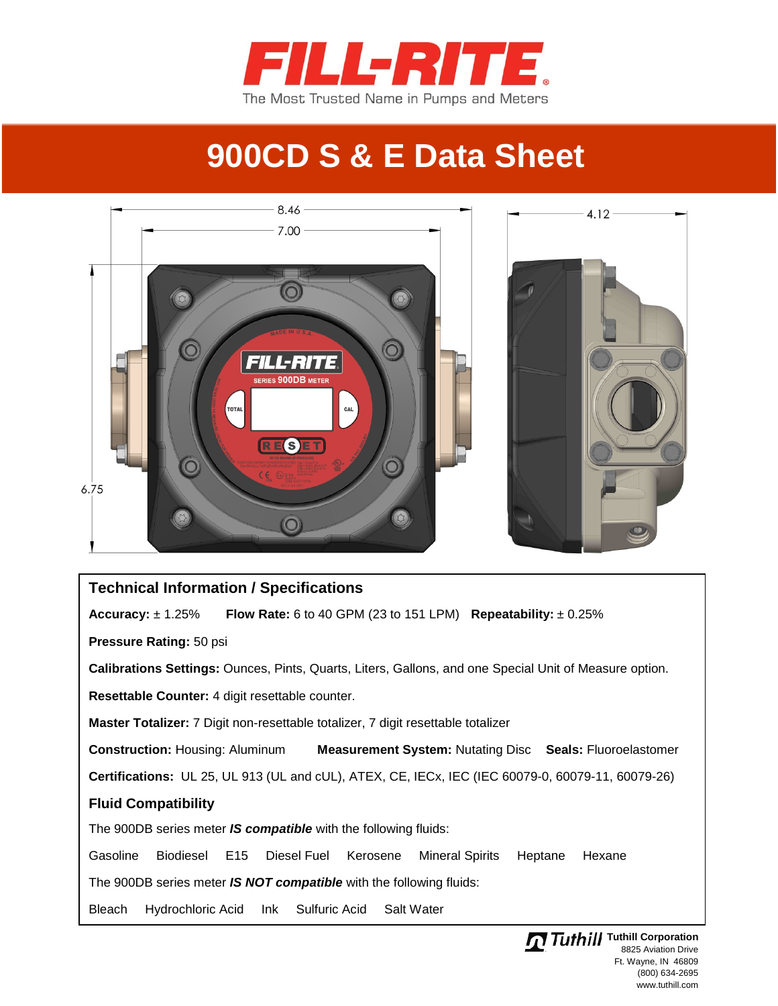

## **900CD S & E Data Sheet**



## **Technical Information / Specifications Accuracy:** ± 1.25% **Flow Rate:** 6 to 40 GPM (23 to 151 LPM) **Repeatability:** ± 0.25% **Pressure Rating:** 50 psi **Calibrations Settings:** Ounces, Pints, Quarts, Liters, Gallons, and one Special Unit of Measure option. **Resettable Counter:** 4 digit resettable counter. **Master Totalizer:** 7 Digit non-resettable totalizer, 7 digit resettable totalizer **Construction:** Housing: Aluminum **Measurement System:** Nutating Disc **Seals:** Fluoroelastomer **Certifications:** UL 25, UL 913 (UL and cUL), ATEX, CE, IECx, IEC (IEC 60079-0, 60079-11, 60079-26) **Fluid Compatibility** The 900DB series meter *IS compatible* with the following fluids: Gasoline Biodiesel E15 Diesel Fuel Kerosene Mineral Spirits Heptane Hexane The 900DB series meter *IS NOT compatible* with the following fluids: Bleach Hydrochloric Acid Ink Sulfuric Acid Salt Water

**Tuthill Tuthill Corporation** 8825 Aviation Drive Ft. Wayne, IN 46809 (800) 634-2695 www.tuthill.com